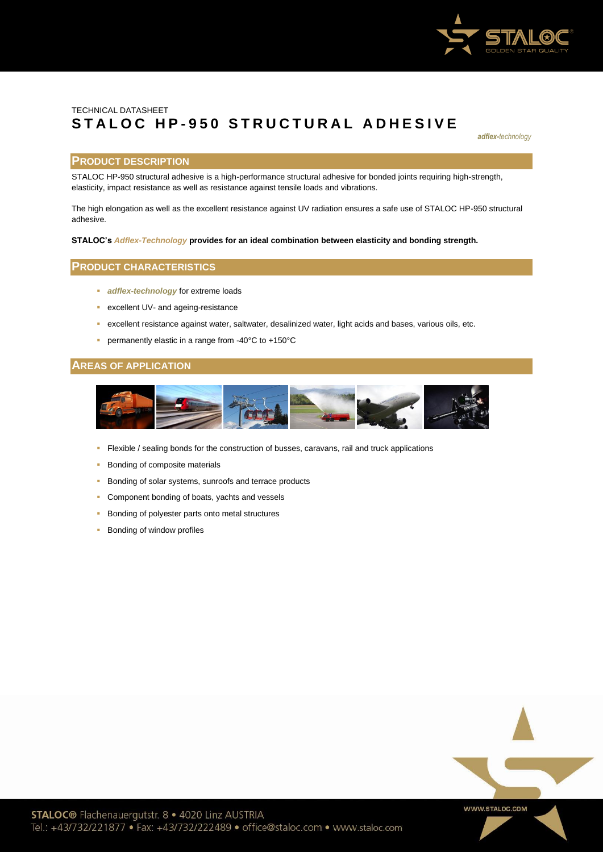

# TECHNICAL DATASHEET **S T A L O C H P - 9 5 0 S T R U C TUR A L A D H E S I V E**

*adflex-technology*

# **PRODUCT DESCRIPTION**

STALOC HP-950 structural adhesive is a high-performance structural adhesive for bonded joints requiring high-strength, elasticity, impact resistance as well as resistance against tensile loads and vibrations.

The high elongation as well as the excellent resistance against UV radiation ensures a safe use of STALOC HP-950 structural adhesive.

#### **STALOC's** *Adflex-Technology* **provides for an ideal combination between elasticity and bonding strength.**

# **PRODUCT CHARACTERISTICS**

- **adflex-technology** for extreme loads
- excellent UV- and ageing-resistance
- excellent resistance against water, saltwater, desalinized water, light acids and bases, various oils, etc.
- permanently elastic in a range from -40°C to +150°C

# **AREAS OF APPLICATION**



- Flexible / sealing bonds for the construction of busses, caravans, rail and truck applications
- **Bonding of composite materials**
- **Bonding of solar systems, sunroofs and terrace products**
- **Component bonding of boats, yachts and vessels**
- Bonding of polyester parts onto metal structures
- **Bonding of window profiles**

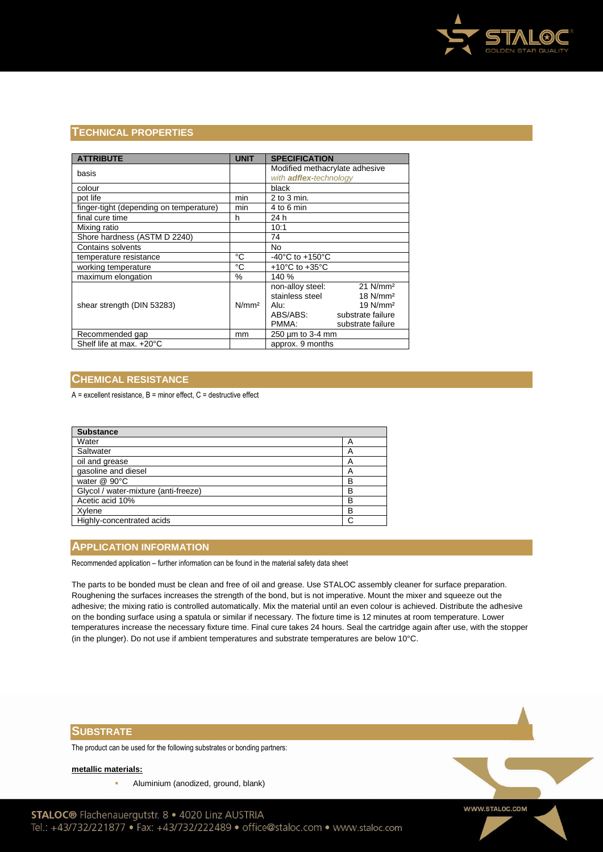

# **TECHNICAL PROPERTIES**

| <b>ATTRIBUTE</b>                        | <b>UNIT</b>       | <b>SPECIFICATION</b>                       |  |
|-----------------------------------------|-------------------|--------------------------------------------|--|
| basis                                   |                   | Modified methacrylate adhesive             |  |
|                                         |                   | with adflex-technology                     |  |
| colour                                  |                   | black                                      |  |
| pot life                                | min               | $2$ to $3$ min.                            |  |
| finger-tight (depending on temperature) | min               | 4 to 6 min                                 |  |
| final cure time                         | h                 | 24 h                                       |  |
| Mixing ratio                            |                   | 10:1                                       |  |
| Shore hardness (ASTM D 2240)            |                   | 74                                         |  |
| <b>Contains solvents</b>                |                   | No                                         |  |
| temperature resistance                  | °C                | -40 $^{\circ}$ C to +150 $^{\circ}$ C      |  |
| working temperature                     | °C                | $+10^{\circ}$ C to $+35^{\circ}$ C         |  |
| maximum elongation                      | %                 | 140 %                                      |  |
| shear strength (DIN 53283)              | N/mm <sup>2</sup> | $21$ N/mm <sup>2</sup><br>non-alloy steel: |  |
|                                         |                   | stainless steel<br>18 N/mm <sup>2</sup>    |  |
|                                         |                   | $19$ N/mm <sup>2</sup><br>Alu:             |  |
|                                         |                   | ABS/ABS:<br>substrate failure              |  |
|                                         |                   | PMMA:<br>substrate failure                 |  |
| Recommended gap                         | mm                | 250 µm to 3-4 mm                           |  |
| Shelf life at max. +20°C                |                   | approx. 9 months                           |  |

# **CHEMICAL RESISTANCE**

 $A =$  excellent resistance,  $B =$  minor effect,  $C =$  destructive effect

| <b>Substance</b>                     |   |
|--------------------------------------|---|
| Water                                | A |
| Saltwater                            | А |
| oil and grease                       | А |
| gasoline and diesel                  | A |
| water $@$ 90 $°C$                    | B |
| Glycol / water-mixture (anti-freeze) | B |
| Acetic acid 10%                      | B |
| Xylene                               | В |
| Highly-concentrated acids            |   |

# **APPLICATION INFORMATION**

Recommended application – further information can be found in the material safety data sheet

The parts to be bonded must be clean and free of oil and grease. Use STALOC assembly cleaner for surface preparation. Roughening the surfaces increases the strength of the bond, but is not imperative. Mount the mixer and squeeze out the adhesive; the mixing ratio is controlled automatically. Mix the material until an even colour is achieved. Distribute the adhesive on the bonding surface using a spatula or similar if necessary. The fixture time is 12 minutes at room temperature. Lower temperatures increase the necessary fixture time. Final cure takes 24 hours. Seal the cartridge again after use, with the stopper (in the plunger). Do not use if ambient temperatures and substrate temperatures are below 10°C.